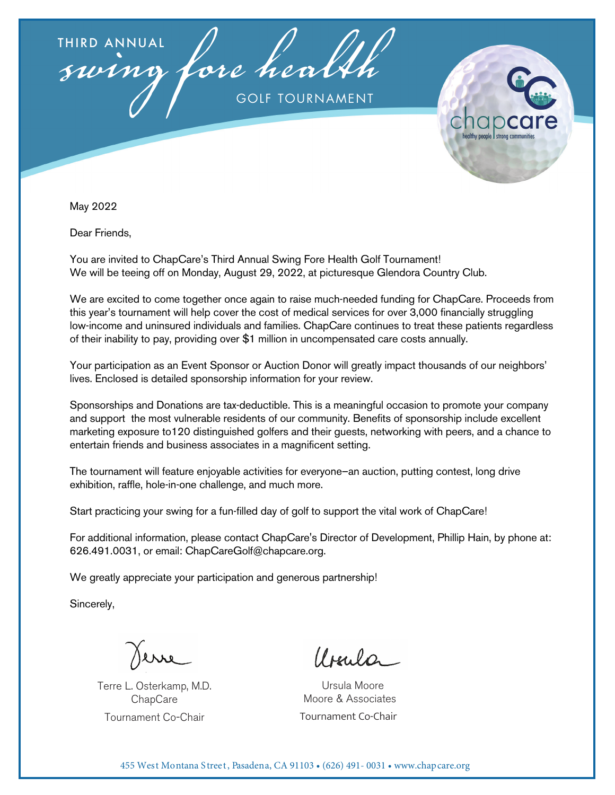



May 2022

Dear Friends,

You are invited to ChapCare's Third Annual Swing Fore Health Golf Tournament! We will be teeing off on Monday, August 29, 2022, at picturesque Glendora Country Club.

We are excited to come together once again to raise much-needed funding for ChapCare. Proceeds from this year's tournament will help cover the cost of medical services for over 3,000 financially struggling low-income and uninsured individuals and families. ChapCare continues to treat these patients regardless of their inability to pay, providing over \$1 million in uncompensated care costs annually.

Your participation as an Event Sponsor or Auction Donor will greatly impact thousands of our neighbors' lives. Enclosed is detailed sponsorship information for your review.

Sponsorships and Donations are tax-deductible. This is a meaningful occasion to promote your company and support the most vulnerable residents of our community. Benefits of sponsorship include excellent marketing exposure to120 distinguished golfers and their guests, networking with peers, and a chance to entertain friends and business associates in a magnificent setting.

The tournament will feature enjoyable activities for everyone–an auction, putting contest, long drive exhibition, raffle, hole-in-one challenge, and much more.

Start practicing your swing for a fun-filled day of golf to support the vital work of ChapCare!

For additional information, please contact ChapCare's Director of Development, Phillip Hain, by phone at: 626.491.0031, or email: ChapCareGolf@chapcare.org.

We greatly appreciate your participation and generous partnership!

Sincerely,

Terre L. Osterkamp, M.D. **ChapCare** Tournament Co-Chair

 $lIm \Omega$ 

 Ursula Moore Moore & Associates Tournament Co-Chair

455 West Montana Street, Pasadena, CA 91103 • (626) 491- 0031 • www.chapcare.org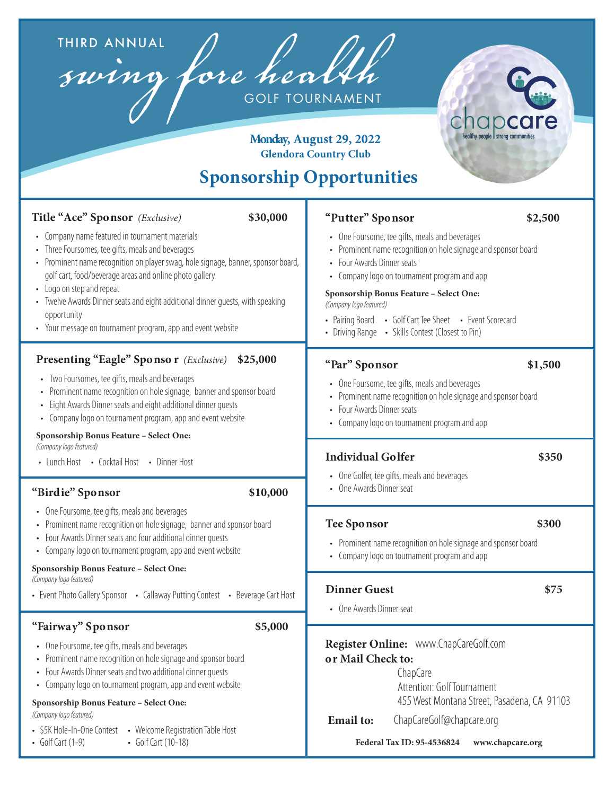THIRD ANNUAL<br>Swing fore health THIRD ANNUAL

C n all people strong communities

#### **Monday, August 29, 2022 Glendora Country Club**

# **Sponsorship Opportunities**

| Title "Ace" Sponsor (Exclusive)                                                                                                                                                                                                                                                                                                                                                                                                                                   | "Putter" Sponsor                                                                                                                                                                                                                                       |  |  |  |
|-------------------------------------------------------------------------------------------------------------------------------------------------------------------------------------------------------------------------------------------------------------------------------------------------------------------------------------------------------------------------------------------------------------------------------------------------------------------|--------------------------------------------------------------------------------------------------------------------------------------------------------------------------------------------------------------------------------------------------------|--|--|--|
| \$30,000                                                                                                                                                                                                                                                                                                                                                                                                                                                          | \$2,500                                                                                                                                                                                                                                                |  |  |  |
| • Company name featured in tournament materials                                                                                                                                                                                                                                                                                                                                                                                                                   | • One Foursome, tee gifts, meals and beverages                                                                                                                                                                                                         |  |  |  |
| • Three Foursomes, tee gifts, meals and beverages                                                                                                                                                                                                                                                                                                                                                                                                                 | • Prominent name recognition on hole signage and sponsor board                                                                                                                                                                                         |  |  |  |
| • Prominent name recognition on player swag, hole signage, banner, sponsor board,                                                                                                                                                                                                                                                                                                                                                                                 | • Four Awards Dinner seats                                                                                                                                                                                                                             |  |  |  |
| golf cart, food/beverage areas and online photo gallery                                                                                                                                                                                                                                                                                                                                                                                                           | • Company logo on tournament program and app                                                                                                                                                                                                           |  |  |  |
| • Logo on step and repeat                                                                                                                                                                                                                                                                                                                                                                                                                                         | Sponsorship Bonus Feature - Select One:                                                                                                                                                                                                                |  |  |  |
| • Twelve Awards Dinner seats and eight additional dinner quests, with speaking                                                                                                                                                                                                                                                                                                                                                                                    | (Company logo featured)                                                                                                                                                                                                                                |  |  |  |
| opportunity                                                                                                                                                                                                                                                                                                                                                                                                                                                       | • Pairing Board • Golf Cart Tee Sheet • Event Scorecard                                                                                                                                                                                                |  |  |  |
| • Your message on tournament program, app and event website                                                                                                                                                                                                                                                                                                                                                                                                       | • Driving Range • Skills Contest (Closest to Pin)                                                                                                                                                                                                      |  |  |  |
| <b>Presenting "Eagle" Sponsor</b> (Exclusive)<br>\$25,000<br>• Two Foursomes, tee gifts, meals and beverages<br>• Prominent name recognition on hole signage, banner and sponsor board<br>• Eight Awards Dinner seats and eight additional dinner quests<br>Company logo on tournament program, app and event website<br>Sponsorship Bonus Feature - Select One:<br>(Company logo featured)                                                                       | "Par" Sponsor<br>\$1,500<br>• One Foursome, tee gifts, meals and beverages<br>• Prominent name recognition on hole signage and sponsor board<br>• Four Awards Dinner seats<br>• Company logo on tournament program and app                             |  |  |  |
| • Lunch Host • Cocktail Host • Dinner Host<br>"Birdie" Sponsor<br>\$10,000                                                                                                                                                                                                                                                                                                                                                                                        | <b>Individual Golfer</b><br>\$350<br>• One Golfer, tee gifts, meals and beverages<br>• One Awards Dinner seat                                                                                                                                          |  |  |  |
| • One Foursome, tee gifts, meals and beverages                                                                                                                                                                                                                                                                                                                                                                                                                    | \$300                                                                                                                                                                                                                                                  |  |  |  |
| Prominent name recognition on hole signage, banner and sponsor board                                                                                                                                                                                                                                                                                                                                                                                              | <b>Tee Sponsor</b>                                                                                                                                                                                                                                     |  |  |  |
| Four Awards Dinner seats and four additional dinner quests                                                                                                                                                                                                                                                                                                                                                                                                        | • Prominent name recognition on hole signage and sponsor board                                                                                                                                                                                         |  |  |  |
| • Company logo on tournament program, app and event website                                                                                                                                                                                                                                                                                                                                                                                                       | • Company logo on tournament program and app                                                                                                                                                                                                           |  |  |  |
| Sponsorship Bonus Feature - Select One:                                                                                                                                                                                                                                                                                                                                                                                                                           | <b>Dinner Guest</b>                                                                                                                                                                                                                                    |  |  |  |
| (Company logo featured)                                                                                                                                                                                                                                                                                                                                                                                                                                           | \$75                                                                                                                                                                                                                                                   |  |  |  |
| • Event Photo Gallery Sponsor • Callaway Putting Contest • Beverage Cart Host                                                                                                                                                                                                                                                                                                                                                                                     | • One Awards Dinner seat                                                                                                                                                                                                                               |  |  |  |
| "Fairway" Sponsor<br>\$5,000<br>• One Foursome, tee gifts, meals and beverages<br>• Prominent name recognition on hole signage and sponsor board<br>Four Awards Dinner seats and two additional dinner quests<br>Company logo on tournament program, app and event website<br>Sponsorship Bonus Feature - Select One:<br>(Company logo featured)<br>• Welcome Registration Table Host<br>• \$5K Hole-In-One Contest<br>• Golf Cart $(1-9)$<br>• Golf Cart (10-18) | Register Online: www.ChapCareGolf.com<br>or Mail Check to:<br>ChapCare<br>Attention: Golf Tournament<br>455 West Montana Street, Pasadena, CA 91103<br>ChapCareGolf@chapcare.org<br><b>Email</b> to:<br>Federal Tax ID: 95-4536824<br>www.chapcare.org |  |  |  |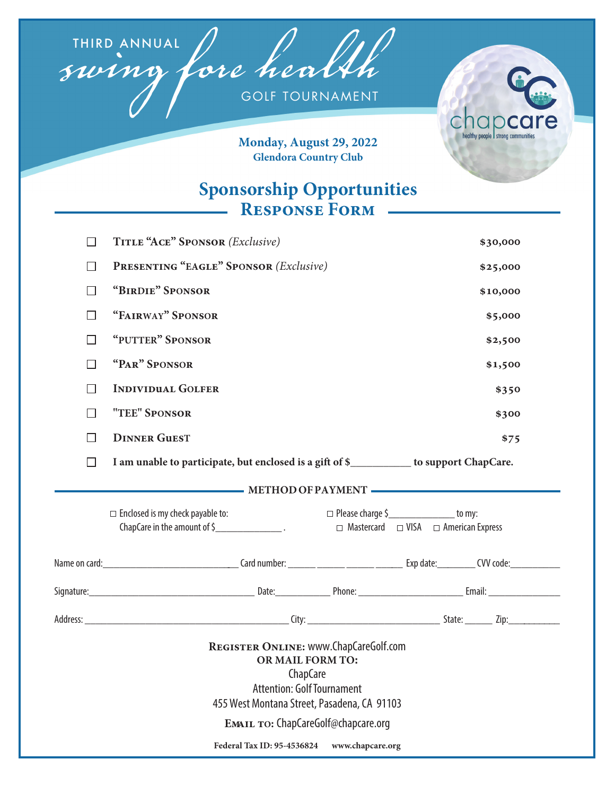THIRD ANNUAL

**GOLF TOURNAMENT** 



Monday, August 29, 2022 **Glendora Country Club** 

## **Sponsorship Opportunities RESPONSE FORM -**

| П                                                                                                                                                                                                                                                                | TITLE "ACE" SPONSOR (Exclusive)                                                          |                                                                                                    |          | \$30,000 |  |  |  |
|------------------------------------------------------------------------------------------------------------------------------------------------------------------------------------------------------------------------------------------------------------------|------------------------------------------------------------------------------------------|----------------------------------------------------------------------------------------------------|----------|----------|--|--|--|
| $\Box$                                                                                                                                                                                                                                                           | <b>PRESENTING "EAGLE" SPONSOR (Exclusive)</b>                                            |                                                                                                    | \$25,000 |          |  |  |  |
| П                                                                                                                                                                                                                                                                | "BIRDIE" SPONSOR                                                                         |                                                                                                    |          | \$10,000 |  |  |  |
| П                                                                                                                                                                                                                                                                | "FAIRWAY" SPONSOR                                                                        |                                                                                                    |          | \$5,000  |  |  |  |
| П                                                                                                                                                                                                                                                                | "PUTTER" SPONSOR                                                                         |                                                                                                    |          | \$2,500  |  |  |  |
| П                                                                                                                                                                                                                                                                | "PAR" SPONSOR                                                                            |                                                                                                    |          | \$1,500  |  |  |  |
| $\Box$                                                                                                                                                                                                                                                           | <b>INDIVIDUAL GOLFER</b>                                                                 |                                                                                                    |          | \$350    |  |  |  |
| П                                                                                                                                                                                                                                                                | "TEE" SPONSOR                                                                            |                                                                                                    |          | \$300    |  |  |  |
| П                                                                                                                                                                                                                                                                | <b>DINNER GUEST</b>                                                                      |                                                                                                    |          | \$75     |  |  |  |
| П                                                                                                                                                                                                                                                                | I am unable to participate, but enclosed is a gift of \$___________ to support ChapCare. |                                                                                                    |          |          |  |  |  |
| METHOD OF PAYMENT                                                                                                                                                                                                                                                |                                                                                          |                                                                                                    |          |          |  |  |  |
|                                                                                                                                                                                                                                                                  | $\Box$ Enclosed is my check payable to:<br>ChapCare in the amount of \$                  | $\Box$ Please charge $\zeta$ [100] to my:<br>$\Box$ Mastercard $\Box$ VISA $\Box$ American Express |          |          |  |  |  |
|                                                                                                                                                                                                                                                                  |                                                                                          |                                                                                                    |          |          |  |  |  |
|                                                                                                                                                                                                                                                                  |                                                                                          |                                                                                                    |          |          |  |  |  |
|                                                                                                                                                                                                                                                                  |                                                                                          |                                                                                                    |          |          |  |  |  |
| REGISTER ONLINE: WWW.ChapCareGolf.com<br>OR MAIL FORM TO:<br>ChapCare<br><b>Attention: Golf Tournament</b><br>455 West Montana Street, Pasadena, CA 91103<br><b>EMAIL TO: ChapCareGolf@chapcare.org</b><br><b>Federal Tax ID: 95-4536824</b><br>www.chapcare.org |                                                                                          |                                                                                                    |          |          |  |  |  |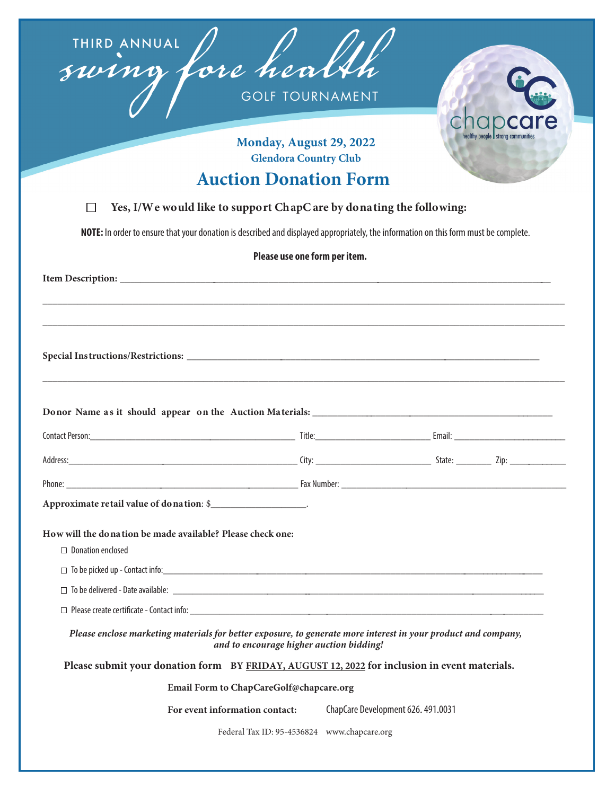



#### **Monday, August 29, 2022 Glendora Country Club**

### **Auction Donation Form**

#### **Yes, I/We would like to support ChapCare by donating the following:**  $\Box$

**NOTE:** In order to ensure that your donation is described and displayed appropriately, the information on this form must be complete.

| Please use one form per item.                                                                                                                              |  |                                             |  |  |  |
|------------------------------------------------------------------------------------------------------------------------------------------------------------|--|---------------------------------------------|--|--|--|
|                                                                                                                                                            |  |                                             |  |  |  |
|                                                                                                                                                            |  |                                             |  |  |  |
|                                                                                                                                                            |  |                                             |  |  |  |
|                                                                                                                                                            |  |                                             |  |  |  |
|                                                                                                                                                            |  |                                             |  |  |  |
|                                                                                                                                                            |  |                                             |  |  |  |
|                                                                                                                                                            |  |                                             |  |  |  |
|                                                                                                                                                            |  |                                             |  |  |  |
|                                                                                                                                                            |  |                                             |  |  |  |
| Approximate retail value of donation: \$                                                                                                                   |  |                                             |  |  |  |
| How will the donation be made available? Please check one:                                                                                                 |  |                                             |  |  |  |
| $\Box$ Donation enclosed                                                                                                                                   |  |                                             |  |  |  |
|                                                                                                                                                            |  |                                             |  |  |  |
|                                                                                                                                                            |  |                                             |  |  |  |
|                                                                                                                                                            |  |                                             |  |  |  |
| Please enclose marketing materials for better exposure, to generate more interest in your product and company,<br>and to encourage higher auction bidding! |  |                                             |  |  |  |
| Please submit your donation form BY FRIDAY, AUGUST 12, 2022 for inclusion in event materials.                                                              |  |                                             |  |  |  |
| Email Form to ChapCareGolf@chapcare.org                                                                                                                    |  |                                             |  |  |  |
| For event information contact:                                                                                                                             |  | ChapCare Development 626. 491.0031          |  |  |  |
|                                                                                                                                                            |  | Federal Tax ID: 95-4536824 www.chapcare.org |  |  |  |
|                                                                                                                                                            |  |                                             |  |  |  |